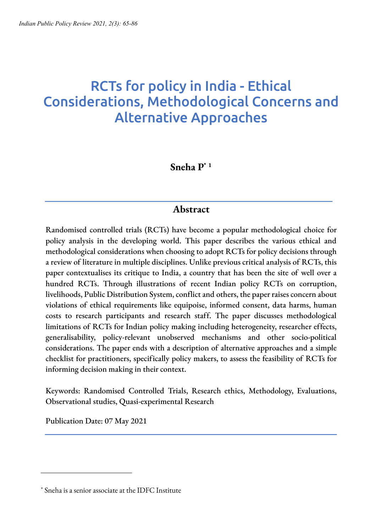# RCTs for policy in India - Ethical Considerations, Methodological Concerns and Alternative Approaches

# **Sneha P\* <sup>1</sup>**

# **Abstract**

Randomised controlled trials (RCTs) have become a popular methodological choice for policy analysis in the developing world. This paper describes the various ethical and methodological considerations when choosing to adopt RCTs for policy decisions through a review of literature in multiple disciplines. Unlike previous critical analysis of RCTs, this paper contextualises its critique to India, a country that has been the site of well over a hundred RCTs. Through illustrations of recent Indian policy RCTs on corruption, livelihoods, Public Distribution System, conflict and others, the paperraises concern about violations of ethical requirements like equipoise, informed consent, data harms, human costs to research participants and research staff. The paper discusses methodological limitations of RCTs for Indian policy making including heterogeneity, researcher effects, generalisability, policy-relevant unobserved mechanisms and other socio-political considerations. The paper ends with a description of alternative approaches and a simple checklist for practitioners, specifically policy makers, to assess the feasibility of RCTs for informing decision making in their context.

Keywords: Randomised Controlled Trials, Research ethics, Methodology, Evaluations, Observational studies, Quasi-experimental Research

Publication Date: 07 May 2021

<sup>\*</sup> Sneha is a senior associate at the IDFC Institute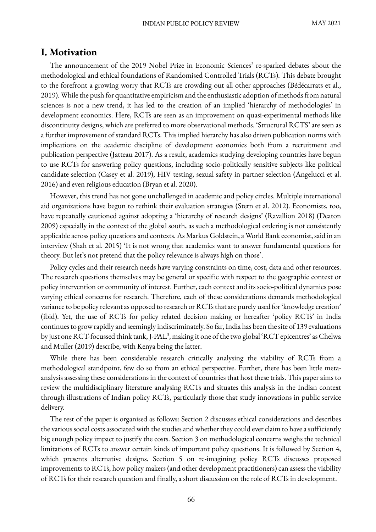### **I. Motivation**

The announcement of the 2019 Nobel Prize in Economic Sciences<sup>2</sup> re-sparked debates about the methodological and ethical foundations of Randomised Controlled Trials (RCTs). This debate brought to the forefront a growing worry that RCTs are crowding out all other approaches (Bédécarrats et al., 2019). While the push for quantitative empiricism and the enthusiastic adoption of methods from natural sciences is not a new trend, it has led to the creation of an implied 'hierarchy of methodologies' in development economics. Here, RCTs are seen as an improvement on quasi-experimental methods like discontinuity designs, which are preferred to more observational methods. 'Structural RCTS' are seen as a further improvement of standard RCTs. This implied hierarchy has also driven publication norms with implications on the academic discipline of development economics both from a recruitment and publication perspective (Jatteau 2017). As a result, academics studying developing countries have begun to use RCTs for answering policy questions, including socio-politically sensitive subjects like political candidate selection (Casey et al. 2019), HIV testing, sexual safety in partner selection (Angelucci et al. 2016) and even religious education (Bryan et al. 2020).

However, this trend has not gone unchallenged in academic and policy circles. Multiple international aid organizations have begun to rethink their evaluation strategies (Stern et al. 2012). Economists, too, have repeatedly cautioned against adopting a 'hierarchy of research designs' (Ravallion 2018) (Deaton 2009) especially in the context of the global south, as such a methodological ordering is not consistently applicable across policy questions and contexts. As Markus Goldstein, a World Bank economist, said in an interview (Shah et al. 2015) 'It is not wrong that academics want to answer fundamental questions for theory. But let's not pretend that the policy relevance is always high on those'.

Policy cycles and their research needs have varying constraints on time, cost, data and other resources. The research questions themselves may be general or specific with respect to the geographic context or policy intervention or community of interest. Further, each context and its socio-political dynamics pose varying ethical concerns for research. Therefore, each of these considerations demands methodological variance to be policy relevant as opposed to research or RCTs that are purely used for 'knowledge creation' (ibid). Yet, the use of RCTs for policy related decision making or hereafter 'policy RCTs' in India continues to grow rapidly and seemingly indiscriminately. So far, India has been the site of 139 evaluations by just one RCT-focussed think tank, J-PAL<sup>3</sup>, making it one of the two global 'RCT epicentres' as Chelwa and Muller (2019) describe, with Kenya being the latter.

While there has been considerable research critically analysing the viability of RCTs from a methodological standpoint, few do so from an ethical perspective. Further, there has been little metaanalysis assessing these considerations in the context of countries that host these trials. This paper aims to review the multidisciplinary literature analysing RCTs and situates this analysis in the Indian context through illustrations of Indian policy RCTs, particularly those that study innovations in public service delivery.

The rest of the paper is organised as follows: Section 2 discusses ethical considerations and describes the various social costs associated with the studies and whether they could ever claim to have a sufficiently big enough policy impact to justify the costs. Section 3 on methodological concerns weighs the technical limitations of RCTs to answer certain kinds of important policy questions. It is followed by Section 4, which presents alternative designs. Section 5 on re-imagining policy RCTs discusses proposed improvements to RCTs, how policy makers (and other development practitioners) can assess the viability of RCTs for their research question and finally, a short discussion on the role of RCTs in development.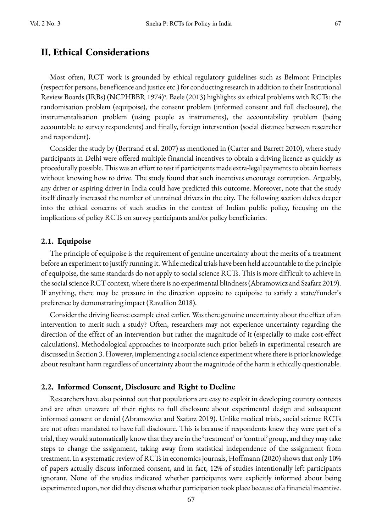### **II. Ethical Considerations**

Most often, RCT work is grounded by ethical regulatory guidelines such as Belmont Principles (respect for persons, beneficence and justice etc.) for conducting research in addition to their Institutional Review Boards (IRBs) (NCPHBBR 1974)<sup>4</sup>. Baele (2013) highlights six ethical problems with RCTs: the randomisation problem (equipoise), the consent problem (informed consent and full disclosure), the instrumentalisation problem (using people as instruments), the accountability problem (being accountable to survey respondents) and finally, foreign intervention (social distance between researcher and respondent).

Consider the study by (Bertrand et al. 2007) as mentioned in (Carter and Barrett 2010), where study participants in Delhi were offered multiple financial incentives to obtain a driving licence as quickly as procedurally possible. This was an effort to test if participants made extra-legal payments to obtain licenses without knowing how to drive. The study found that such incentives encourage corruption. Arguably, any driver or aspiring driver in India could have predicted this outcome. Moreover, note that the study itself directly increased the number of untrained drivers in the city. The following section delves deeper into the ethical concerns of such studies in the context of Indian public policy, focusing on the implications of policy RCTs on survey participants and/or policy beneficiaries.

#### **2.1. Equipoise**

The principle of equipoise is the requirement of genuine uncertainty about the merits of a treatment before an experiment to justify running it. While medical trials have been held accountable to the principle of equipoise, the same standards do not apply to social science RCTs. This is more difficult to achieve in the social science RCT context, where there is no experimental blindness (Abramowicz and Szafarz 2019). If anything, there may be pressure in the direction opposite to equipoise to satisfy a state/funder's preference by demonstrating impact (Ravallion 2018).

Consider the driving license example cited earlier. Was there genuine uncertainty about the effect of an intervention to merit such a study? Often, researchers may not experience uncertainty regarding the direction of the effect of an intervention but rather the magnitude of it (especially to make cost-effect calculations). Methodological approaches to incorporate such prior beliefs in experimental research are discussed in Section 3. However, implementing a social science experiment where there is prior knowledge about resultant harm regardless of uncertainty about the magnitude of the harm is ethically questionable.

#### **2.2. Informed Consent, Disclosure and Right to Decline**

Researchers have also pointed out that populations are easy to exploit in developing country contexts and are often unaware of their rights to full disclosure about experimental design and subsequent informed consent or denial (Abramowicz and Szafarz 2019). Unlike medical trials, social science RCTs are not often mandated to have full disclosure. This is because if respondents knew they were part of a trial, they would automatically know that they are in the 'treatment' or 'control' group, and they may take steps to change the assignment, taking away from statistical independence of the assignment from treatment. In a systematic review of RCTs in economics journals, Hoffmann (2020) shows that only 10% of papers actually discuss informed consent, and in fact, 12% of studies intentionally left participants ignorant. None of the studies indicated whether participants were explicitly informed about being experimented upon, nor did they discuss whether participation took place because of a financial incentive.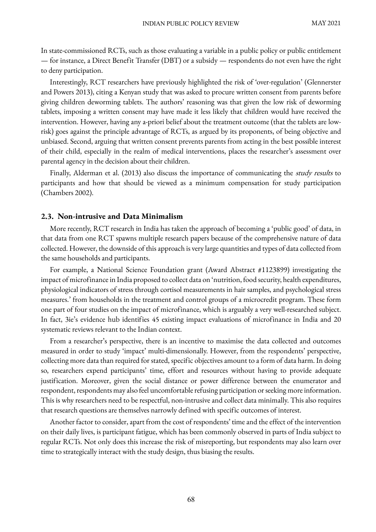In state-commissioned RCTs, such as those evaluating a variable in a public policy or public entitlement — for instance, a Direct Benefit Transfer (DBT) or a subsidy — respondents do not even have the right to deny participation.

Interestingly, RCT researchers have previously highlighted the risk of 'over-regulation' (Glennerster and Powers 2013), citing a Kenyan study that was asked to procure written consent from parents before giving children deworming tablets. The authors' reasoning was that given the low risk of deworming tablets, imposing a written consent may have made it less likely that children would have received the intervention. However, having any a-priori belief about the treatment outcome (that the tablets are lowrisk) goes against the principle advantage of RCTs, as argued by its proponents, of being objective and unbiased. Second, arguing that written consent prevents parents from acting in the best possible interest of their child, especially in the realm of medical interventions, places the researcher's assessment over parental agency in the decision about their children.

Finally, Alderman et al. (2013) also discuss the importance of communicating the study results to participants and how that should be viewed as a minimum compensation for study participation (Chambers 2002).

#### **2.3. Non-intrusive and Data Minimalism**

More recently, RCT research in India has taken the approach of becoming a 'public good' of data, in that data from one RCT spawns multiple research papers because of the comprehensive nature of data collected. However, the downside of this approach is very large quantities and types of data collected from the same households and participants.

For example, a National Science Foundation grant (Award Abstract #1123899) investigating the impact of microfinance in India proposed to collect data on 'nutrition, food security, health expenditures, physiological indicators of stress through cortisol measurements in hair samples, and psychological stress measures.' from households in the treatment and control groups of a microcredit program. These form one part of four studies on the impact of microfinance, which is arguably a very well-researched subject. In fact, 3ie's evidence hub identifies 45 existing impact evaluations of microfinance in India and 20 systematic reviews relevant to the Indian context.

From a researcher's perspective, there is an incentive to maximise the data collected and outcomes measured in order to study 'impact' multi-dimensionally. However, from the respondents' perspective, collecting more data than required for stated, specific objectives amount to a form of data harm. In doing so, researchers expend participants' time, effort and resources without having to provide adequate justification. Moreover, given the social distance or power difference between the enumerator and respondent, respondents may also feel uncomfortable refusing participation or seeking more information. This is why researchers need to be respectful, non-intrusive and collect data minimally. This also requires that research questions are themselves narrowly defined with specific outcomes of interest.

Another factor to consider, apart from the cost of respondents' time and the effect of the intervention on their daily lives, is participant fatigue, which has been commonly observed in parts of India subject to regular RCTs. Not only does this increase the risk of misreporting, but respondents may also learn over time to strategically interact with the study design, thus biasing the results.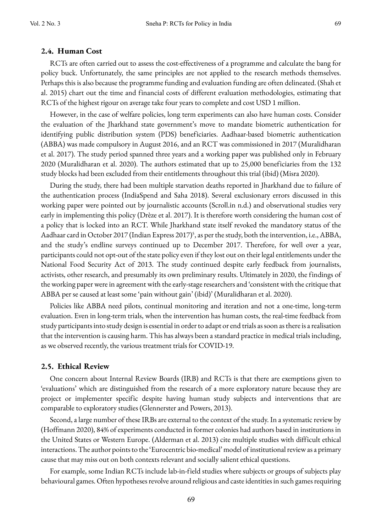#### **2.4. Human Cost**

RCTs are often carried out to assess the cost-effectiveness of a programme and calculate the bang for policy buck. Unfortunately, the same principles are not applied to the research methods themselves. Perhaps this is also because the programme funding and evaluation funding are often delineated. (Shah et al. 2015) chart out the time and financial costs of different evaluation methodologies, estimating that RCTs of the highest rigour on average take four years to complete and cost USD 1 million.

However, in the case of welfare policies, long term experiments can also have human costs. Consider the evaluation of the Jharkhand state government's move to mandate biometric authentication for identifying public distribution system (PDS) beneficiaries. Aadhaar-based biometric authentication (ABBA) was made compulsory in August 2016, and an RCT was commissioned in 2017 (Muralidharan et al. 2017). The study period spanned three years and a working paper was published only in February 2020 (Muralidharan et al. 2020). The authors estimated that up to 25,000 beneficiaries from the 132 study blocks had been excluded from their entitlements throughout this trial (ibid) (Misra 2020).

During the study, there had been multiple starvation deaths reported in Jharkhand due to failure of the authentication process (IndiaSpend and Saha 2018). Several exclusionary errors discussed in this working paper were pointed out by journalistic accounts (Scroll.in n.d.) and observational studies very early in implementing this policy (Drèze et al. 2017). It is therefore worth considering the human cost of a policy that is locked into an RCT. While Jharkhand state itself revoked the mandatory status of the Aadhaar card in October 2017 (Indian Express 2017)<sup>5</sup>, as per the study, both the intervention, i.e., ABBA, and the study's endline surveys continued up to December 2017. Therefore, for well over a year, participants could not opt-out of the state policy even if they lost out on their legal entitlements under the National Food Security Act of 2013. The study continued despite early feedback from journalists, activists, other research, and presumably its own preliminary results. Ultimately in 2020, the findings of the working paper were in agreement with the early-stage researchers and 'consistent with the critique that ABBA per se caused at least some 'pain without gain' (ibid)' (Muralidharan et al. 2020).

Policies like ABBA need pilots, continual monitoring and iteration and not a one-time, long-term evaluation. Even in long-term trials, when the intervention has human costs, the real-time feedback from study participants into study design is essential in order to adapt or end trials as soon as there is a realisation that the intervention is causing harm. This has always been a standard practice in medical trials including, as we observed recently, the various treatment trials for COVID-19.

#### **2.5. Ethical Review**

One concern about Internal Review Boards (IRB) and RCTs is that there are exemptions given to 'evaluations' which are distinguished from the research of a more exploratory nature because they are project or implementer specific despite having human study subjects and interventions that are comparable to exploratory studies (Glennerster and Powers, 2013).

Second, a large number of these IRBs are external to the context of the study. In a systematic review by (Hoffmann 2020), 84% of experiments conducted in former colonies had authors based in institutions in the United States or Western Europe. (Alderman et al. 2013) cite multiple studies with difficult ethical interactions. The author points to the 'Eurocentric bio-medical' model of institutional review as a primary cause that may miss out on both contexts relevant and socially salient ethical questions.

For example, some Indian RCTs include lab-in-field studies where subjects or groups of subjects play behavioural games. Often hypotheses revolve around religious and caste identities in such games requiring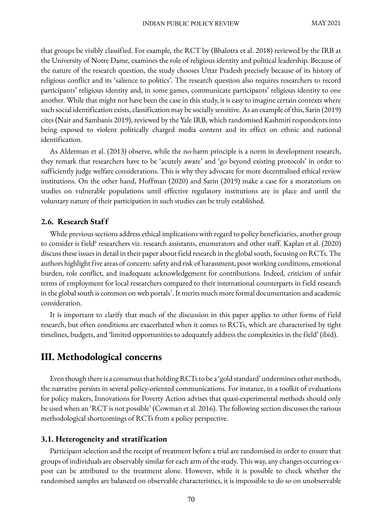that groups be visibly classified. For example, the RCT by (Bhalotra et al. 2018) reviewed by the IRB at the University of Notre Dame, examines the role of religious identity and political leadership. Because of the nature of the research question, the study chooses Uttar Pradesh precisely because of its history of religious conflict and its 'salience to politics'. The research question also requires researchers to record participants' religious identity and, in some games, communicate participants' religious identity to one another. While that might not have been the case in this study, it is easy to imagine certain contexts where such social identification exists, classification may be socially sensitive. As an example of this, Sarin (2019) cites (Nair and Sambanis 2019), reviewed by the Yale IRB, which randomised Kashmiri respondents into being exposed to violent politically charged media content and its effect on ethnic and national identification.

As Alderman et al. (2013) observe, while the no-harm principle is a norm in development research, they remark that researchers have to be 'acutely aware' and 'go beyond existing protocols' in order to sufficiently judge welfare considerations. This is why they advocate for more decentralised ethical review institutions. On the other hand, Hoffman (2020) and Sarin (2019) make a case for a moratorium on studies on vulnerable populations until effective regulatory institutions are in place and until the voluntary nature of their participation in such studies can be truly established.

#### **2.6. Research Staf f**

While previous sections address ethical implications with regard to policy beneficiaries, another group to consider is field<sup>6</sup> researchers viz. research assistants, enumerators and other staff. Kaplan et al. (2020) discuss these issues in detail in their paper about field research in the global south, focusing on RCTs. The authors highlight five areas of concern: safety and risk of harassment, poor working conditions, emotional burden, role conflict, and inadequate acknowledgement for contributions. Indeed, criticism of unfair terms of employment for local researchers compared to their international counterparts in field research in the global south is common on web portals<sup>7</sup>. It merits much more formal documentation and academic consideration.

It is important to clarify that much of the discussion in this paper applies to other forms of field research, but often conditions are exacerbated when it comes to RCTs, which are characterised by tight timelines, budgets, and 'limited opportunities to adequately address the complexities in the field' (ibid).

## **III. Methodological concerns**

Even though there is a consensus that holding RCTs to be a 'gold standard' undermines other methods, the narrative persists in several policy-oriented communications. For instance, in a toolkit of evaluations for policy makers, Innovations for Poverty Action advises that quasi-experimental methods should only be used when an 'RCT is not possible' (Cowman et al. 2016). The following section discusses the various methodological shortcomings of RCTs from a policy perspective.

#### **3.1. Heterogeneity and stratification**

Participant selection and the receipt of treatment before a trial are randomised in order to ensure that groups of individuals are observably similar for each arm of the study. This way, any changes occurring expost can be attributed to the treatment alone. However, while it is possible to check whether the randomised samples are balanced on observable characteristics, it is impossible to do so on unobservable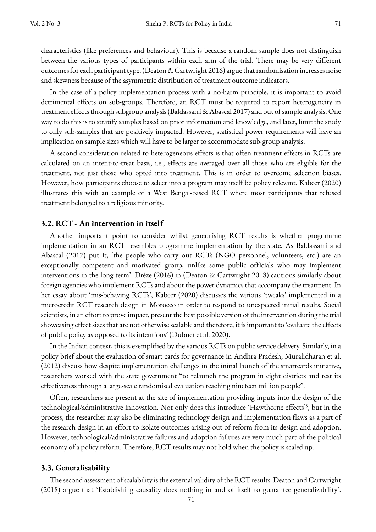characteristics (like preferences and behaviour). This is because a random sample does not distinguish between the various types of participants within each arm of the trial. There may be very different outcomes for each participant type. (Deaton & Cartwright 2016) argue that randomisation increases noise and skewness because of the asymmetric distribution of treatment outcome indicators.

In the case of a policy implementation process with a no-harm principle, it is important to avoid detrimental effects on sub-groups. Therefore, an RCT must be required to report heterogeneity in treatment effects through subgroup analysis (Baldassarri & Abascal 2017) and out of sample analysis. One way to do this is to stratify samples based on prior information and knowledge, and later, limit the study to only sub-samples that are positively impacted. However, statistical power requirements will have an implication on sample sizes which will have to be larger to accommodate sub-group analysis.

A second consideration related to heterogeneous effects is that often treatment effects in RCTs are calculated on an intent-to-treat basis, i.e., effects are averaged over all those who are eligible for the treatment, not just those who opted into treatment. This is in order to overcome selection biases. However, how participants choose to select into a program may itself be policy relevant. Kabeer (2020) illustrates this with an example of a West Bengal-based RCT where most participants that refused treatment belonged to a religious minority.

#### **3.2. RCT - An intervention in itself**

Another important point to consider whilst generalising RCT results is whether programme implementation in an RCT resembles programme implementation by the state. As Baldassarri and Abascal (2017) put it, 'the people who carry out RCTs (NGO personnel, volunteers, etc.) are an exceptionally competent and motivated group, unlike some public officials who may implement interventions in the long term'. Drèze (2016) in (Deaton & Cartwright 2018) cautions similarly about foreign agencies who implement RCTs and about the power dynamics that accompany the treatment. In her essay about 'mis-behaving RCTs', Kabeer (2020) discusses the various 'tweaks' implemented in a microcredit RCT research design in Morocco in order to respond to unexpected initial results. Social scientists, in an effort to prove impact, present the best possible version of the intervention during the trial showcasing effect sizes that are not otherwise scalable and therefore, it is important to 'evaluate the effects of public policy as opposed to its intentions' (Dubner et al. 2020).

In the Indian context, this is exemplified by the various RCTs on public service delivery. Similarly, in a policy brief about the evaluation of smart cards for governance in Andhra Pradesh, Muralidharan et al. (2012) discuss how despite implementation challenges in the initial launch of the smartcards initiative, researchers worked with the state government "to relaunch the program in eight districts and test its effectiveness through a large-scale randomised evaluation reaching nineteen million people".

Often, researchers are present at the site of implementation providing inputs into the design of the technological/administrative innovation. Not only does this introduce 'Hawthorne effects'8 , but in the process, the researcher may also be eliminating technology design and implementation flaws as a part of the research design in an effort to isolate outcomes arising out of reform from its design and adoption. However, technological/administrative failures and adoption failures are very much part of the political economy of a policy reform. Therefore, RCT results may not hold when the policy is scaled up.

#### **3.3. Generalisability**

The second assessment of scalability is the external validity of the RCT results. Deaton and Cartwright (2018) argue that 'Establishing causality does nothing in and of itself to guarantee generalizability'.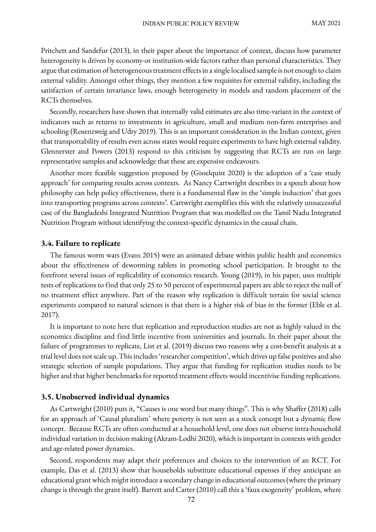Pritchett and Sandefur (2013), in their paper about the importance of context, discuss how parameter heterogeneity is driven by economy-or institution-wide factors rather than personal characteristics. They argue that estimation of heterogeneous treatment effects in a single localised sample is not enough to claim external validity. Amongst other things, they mention a few requisites for external validity, including the satisfaction of certain invariance laws, enough heterogeneity in models and random placement of the RCTs themselves.

Secondly, researchers have shown that internally valid estimates are also time-variant in the context of indicators such as returns to investments in agriculture, small and medium non-farm enterprises and schooling (Rosenzweig and Udry 2019). This is an important consideration in the Indian context, given that transportability of results even across states would require experiments to have high external validity. Glennerster and Powers (2013) respond to this criticism by suggesting that RCTs are run on large representative samples and acknowledge that these are expensive endeavours.

Another more feasible suggestion proposed by (Gisselquist 2020) is the adoption of a 'case study approach' for comparing results across contexts. As Nancy Cartwright describes in a speech about how philosophy can help policy effectiveness, there is a fundamental flaw in the 'simple induction' that goes into transporting programs across contexts<sup>9</sup>. Cartwright exemplifies this with the relatively unsuccessful case of the Bangladeshi Integrated Nutrition Program that was modelled on the Tamil Nadu Integrated Nutrition Program without identifying the context-specific dynamics in the causal chain.

#### **3.4. Failure to replicate**

The famous worm wars (Evans 2015) were an animated debate within public health and economics about the effectiveness of deworming tablets in promoting school participation. It brought to the forefront several issues of replicability of economics research. Young (2019), in his paper, uses multiple tests of replications to find that only 25 to 50 percent of experimental papers are able to reject the null of no treatment effect anywhere. Part of the reason why replication is difficult terrain for social science experiments compared to natural sciences is that there is a higher risk of bias in the former (Eble et al. 2017).

It is important to note here that replication and reproduction studies are not as highly valued in the economics discipline and find little incentive from universities and journals. In their paper about the failure of programmes to replicate, List et al. (2019) discuss two reasons why a cost-benefit analysis at a trial level does not scale up. This includes 'researcher competition', which drives up false positives and also strategic selection of sample populations. They argue that funding for replication studies needs to be higher and that higher benchmarks for reported treatment effects would incentivise funding replications.

#### **3.5. Unobserved individual dynamics**

As Cartwright (2010) puts it, "Causes is one word but many things". This is why Shaffer (2018) calls for an approach of 'Causal pluralism' where poverty is not seen as a stock concept but a dynamic flow concept. Because RCTs are often conducted at a household level, one does not observe intra-household individual variation in decision making (Akram-Lodhi 2020), which is important in contexts with gender and age-related power dynamics.

Second, respondents may adapt their preferences and choices to the intervention of an RCT. For example, Das et al. (2013) show that households substitute educational expenses if they anticipate an educational grant which might introduce a secondary change in educational outcomes (where the primary change is through the grant itself). Barrett and Carter (2010) call this a 'faux exogeneity' problem, where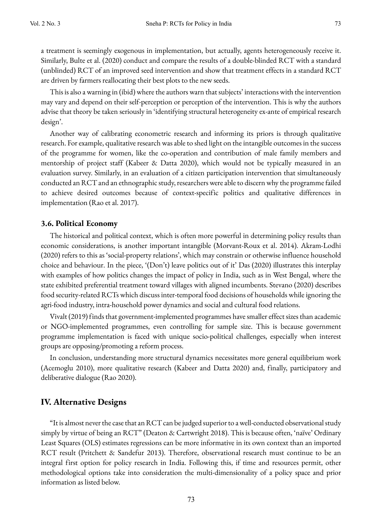a treatment is seemingly exogenous in implementation, but actually, agents heterogeneously receive it. Similarly, Bulte et al. (2020) conduct and compare the results of a double-blinded RCT with a standard (unblinded) RCT of an improved seed intervention and show that treatment effects in a standard RCT are driven by farmers reallocating their best plots to the new seeds.

This is also a warning in (ibid) where the authors warn that subjects' interactions with the intervention may vary and depend on their self-perception or perception of the intervention. This is why the authors advise that theory be taken seriously in 'identifying structural heterogeneity ex-ante of empirical research design'.

Another way of calibrating econometric research and informing its priors is through qualitative research. For example, qualitative research was able to shed light on the intangible outcomes in the success of the programme for women, like the co-operation and contribution of male family members and mentorship of project staff (Kabeer & Datta 2020), which would not be typically measured in an evaluation survey. Similarly, in an evaluation of a citizen participation intervention that simultaneously conducted an RCT and an ethnographic study, researchers were able to discern why the programme failed to achieve desired outcomes because of context-specific politics and qualitative differences in implementation (Rao et al. 2017).

#### **3.6. Political Economy**

The historical and political context, which is often more powerful in determining policy results than economic considerations, is another important intangible (Morvant-Roux et al. 2014). Akram-Lodhi (2020) refers to this as 'social-property relations', which may constrain or otherwise influence household choice and behaviour. In the piece, '(Don't) leave politics out of it' Das (2020) illustrates this interplay with examples of how politics changes the impact of policy in India, such as in West Bengal, where the state exhibited preferential treatment toward villages with aligned incumbents. Stevano (2020) describes food security-related RCTs which discuss inter-temporal food decisions of households while ignoring the agri-food industry, intra-household power dynamics and social and cultural food relations.

Vivalt (2019) finds that government-implemented programmes have smaller effect sizes than academic or NGO-implemented programmes, even controlling for sample size. This is because government programme implementation is faced with unique socio-political challenges, especially when interest groups are opposing/promoting a reform process.

In conclusion, understanding more structural dynamics necessitates more general equilibrium work (Acemoglu 2010), more qualitative research (Kabeer and Datta 2020) and, finally, participatory and deliberative dialogue (Rao 2020).

#### **IV. Alternative Designs**

"It is almost never the case that an RCT can be judged superior to a well-conducted observational study simply by virtue of being an RCT" (Deaton & Cartwright 2018). This is because often, 'naïve' Ordinary Least Squares (OLS) estimates regressions can be more informative in its own context than an imported RCT result (Pritchett & Sandefur 2013). Therefore, observational research must continue to be an integral first option for policy research in India. Following this, if time and resources permit, other methodological options take into consideration the multi-dimensionality of a policy space and prior information as listed below.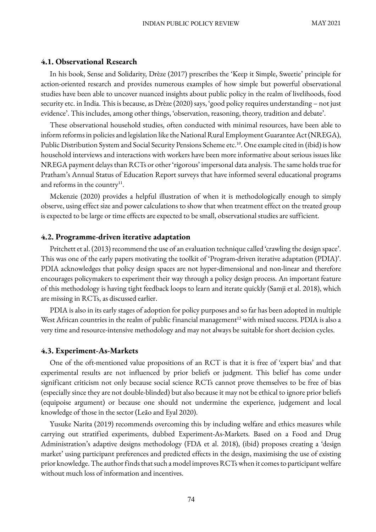#### **4.1. Observational Research**

In his book, Sense and Solidarity, Drèze (2017) prescribes the 'Keep it Simple, Sweetie' principle for action-oriented research and provides numerous examples of how simple but powerful observational studies have been able to uncover nuanced insights about public policy in the realm of livelihoods, food security etc. in India. This is because, as Drèze (2020) says, 'good policy requires understanding – not just evidence'. This includes, among other things, 'observation, reasoning, theory, tradition and debate'.

These observational household studies, often conducted with minimal resources, have been able to inform reforms in policies and legislation like the National Rural Employment Guarantee Act (NREGA), Public Distribution System and Social Security Pensions Scheme etc.<sup>10</sup>. One example cited in (ibid) is how household interviews and interactions with workers have been more informative about serious issues like NREGA payment delays than RCTs or other 'rigorous' impersonal data analysis. The same holds true for Pratham's Annual Status of Education Report surveys that have informed several educational programs and reforms in the country $11$ .

Mckenzie (2020) provides a helpful illustration of when it is methodologically enough to simply observe, using effect size and power calculations to show that when treatment effect on the treated group is expected to be large or time effects are expected to be small, observational studies are sufficient.

#### **4.2. Programme-driven iterative adaptation**

Pritchett et al. (2013) recommend the use of an evaluation technique called 'crawling the design space'. This was one of the early papers motivating the toolkit of 'Program-driven iterative adaptation (PDIA)'. PDIA acknowledges that policy design spaces are not hyper-dimensional and non-linear and therefore encourages policymakers to experiment their way through a policy design process. An important feature of this methodology is having tight feedback loops to learn and iterate quickly (Samji et al. 2018), which are missing in RCTs, as discussed earlier.

PDIA is also in its early stages of adoption for policy purposes and so far has been adopted in multiple West African countries in the realm of public financial management<sup>12</sup> with mixed success. PDIA is also a very time and resource-intensive methodology and may not always be suitable for short decision cycles.

#### **4.3. Experiment-As-Markets**

One of the oft-mentioned value propositions of an RCT is that it is free of 'expert bias' and that experimental results are not influenced by prior beliefs or judgment. This belief has come under significant criticism not only because social science RCTs cannot prove themselves to be free of bias (especially since they are not double-blinded) but also because it may not be ethical to ignore prior beliefs (equipoise argument) or because one should not undermine the experience, judgement and local knowledge of those in the sector (Leão and Eyal 2020).

Yusuke Narita (2019) recommends overcoming this by including welfare and ethics measures while carrying out stratified experiments, dubbed Experiment-As-Markets. Based on a Food and Drug Administration's adaptive designs methodology (FDA et al. 2018), (ibid) proposes creating a 'design market' using participant preferences and predicted effects in the design, maximising the use of existing prior knowledge. The author finds that such a model improves RCTswhen it comes to participant welfare without much loss of information and incentives.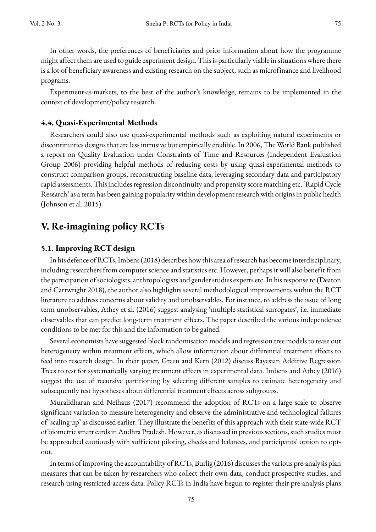In other words, the preferences of beneficiaries and prior information about how the programme might affect them are used to guide experiment design. This is particularly viable in situations where there is a lot of beneficiary awareness and existing research on the subject, such as microfinance and livelihood programs.

Experiment-as-markets, to the best of the author's knowledge, remains to be implemented in the context of development/policy research.

#### **4.4. Quasi-Experimental Methods**

Researchers could also use quasi-experimental methods such as exploiting natural experiments or discontinuities designs that are less intrusive but empirically credible. In 2006, The World Bank published a report on Quality Evaluation under Constraints of Time and Resources (Independent Evaluation Group 2006) providing helpful methods of reducing costs by using quasi-experimental methods to construct comparison groups, reconstructing baseline data, leveraging secondary data and participatory rapid assessments. This includes regression discontinuity and propensity score matching etc. 'Rapid Cycle Research' as a term has been gaining popularity within development research with origins in public health (Johnson et al. 2015).

# **V. Re-imagining policy RCTs**

#### **5.1. Improving RCT design**

In his defence of RCTs, Imbens(2018) describes how this area of research has become interdisciplinary, including researchers from computer science and statistics etc. However, perhaps it will also benefit from the participation of sociologists, anthropologists and gender studies experts etc. In his response to (Deaton and Cartwright 2018), the author also highlights several methodological improvements within the RCT literature to address concerns about validity and unobservables. For instance, to address the issue of long term unobservables, Athey et al. (2016) suggest analysing 'multiple statistical surrogates', i.e. immediate observables that can predict long-term treatment effects. The paper described the various independence conditions to be met for this and the information to be gained.

Several economists have suggested block randomisation models and regression tree models to tease out heterogeneity within treatment effects, which allow information about differential treatment effects to feed into research design. In their paper, Green and Kern (2012) discuss Bayesian Additive Regression Trees to test for systematically varying treatment effects in experimental data. Imbens and Athey (2016) suggest the use of recursive partitioning by selecting different samples to estimate heterogeneity and subsequently test hypotheses about differential treatment effects across subgroups.

Muralidharan and Neihaus (2017) recommend the adoption of RCTs on a large scale to observe significant variation to measure heterogeneity and observe the administrative and technological failures of 'scaling up' as discussed earlier. They illustrate the benefits of this approach with their state-wide RCT of biometric smart cards in Andhra Pradesh. However, as discussed in previous sections, such studies must be approached cautiously with sufficient piloting, checks and balances, and participants' option to optout.

In terms of improving the accountability of RCTs, Burlig (2016) discusses the various pre-analysis plan measures that can be taken by researchers who collect their own data, conduct prospective studies, and research using restricted-access data. Policy RCTs in India have begun to register their pre-analysis plans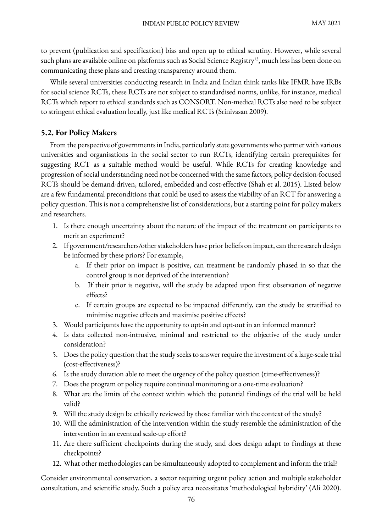to prevent (publication and specification) bias and open up to ethical scrutiny. However, while several such plans are available online on platforms such as Social Science Registry<sup>13</sup>, much less has been done on communicating these plans and creating transparency around them.

While several universities conducting research in India and Indian think tanks like IFMR have IRBs for social science RCTs, these RCTs are not subject to standardised norms, unlike, for instance, medical RCTs which report to ethical standards such as CONSORT. Non-medical RCTs also need to be subject to stringent ethical evaluation locally, just like medical RCTs (Srinivasan 2009).

### **5.2. For Policy Makers**

From the perspective of governments in India, particularly state governments who partner with various universities and organisations in the social sector to run RCTs, identifying certain prerequisites for suggesting RCT as a suitable method would be useful. While RCTs for creating knowledge and progression of social understanding need not be concerned with the same factors, policy decision-focused RCTs should be demand-driven, tailored, embedded and cost-effective (Shah et al. 2015). Listed below are a few fundamental preconditions that could be used to assess the viability of an RCT for answering a policy question. This is not a comprehensive list of considerations, but a starting point for policy makers and researchers.

- 1. Is there enough uncertainty about the nature of the impact of the treatment on participants to merit an experiment?
- 2. If government/researchers/other stakeholders have prior beliefs on impact, can the research design be informed by these priors? For example,
	- a. If their prior on impact is positive, can treatment be randomly phased in so that the control group is not deprived of the intervention?
	- b. If their prior is negative, will the study be adapted upon first observation of negative effects?
	- c. If certain groups are expected to be impacted differently, can the study be stratified to minimise negative effects and maximise positive effects?
- 3. Would participants have the opportunity to opt-in and opt-out in an informed manner?
- 4. Is data collected non-intrusive, minimal and restricted to the objective of the study under consideration?
- 5. Does the policy question that the study seeks to answer require the investment of a large-scale trial (cost-effectiveness)?
- 6. Is the study duration able to meet the urgency of the policy question (time-effectiveness)?
- 7. Does the program or policy require continual monitoring or a one-time evaluation?
- 8. What are the limits of the context within which the potential findings of the trial will be held valid?
- 9. Will the study design be ethically reviewed by those familiar with the context of the study?
- 10. Will the administration of the intervention within the study resemble the administration of the intervention in an eventual scale-up effort?
- 11. Are there sufficient checkpoints during the study, and does design adapt to findings at these checkpoints?
- 12. What other methodologies can be simultaneously adopted to complement and inform the trial?

Consider environmental conservation, a sector requiring urgent policy action and multiple stakeholder consultation, and scientific study. Such a policy area necessitates 'methodological hybridity' (Ali 2020).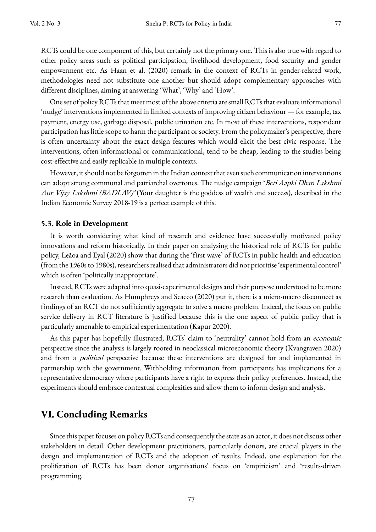RCTs could be one component of this, but certainly not the primary one. This is also true with regard to other policy areas such as political participation, livelihood development, food security and gender empowerment etc. As Haan et al. (2020) remark in the context of RCTs in gender-related work, methodologies need not substitute one another but should adopt complementary approaches with different disciplines, aiming at answering 'What', 'Why' and 'How'.

One set of policy RCTs that meet most of the above criteria are small RCTs that evaluate informational 'nudge' interventions implemented in limited contexts of improving citizen behaviour — for example, tax payment, energy use, garbage disposal, public urination etc. In most of these interventions, respondent participation has little scope to harm the participant or society. From the policymaker's perspective, there is often uncertainty about the exact design features which would elicit the best civic response. The interventions, often informational or communicational, tend to be cheap, leading to the studies being cost-effective and easily replicable in multiple contexts.

However, it should not be forgotten in the Indian context that even such communication interventions can adopt strong communal and patriarchal overtones. The nudge campaign 'Beti Aapki Dhan Lakshmi Aur Vijay Lakshmi (BADLAV)' (Your daughter is the goddess of wealth and success), described in the Indian Economic Survey 2018-19 is a perfect example of this.

#### **5.3. Role in Development**

It is worth considering what kind of research and evidence have successfully motivated policy innovations and reform historically. In their paper on analysing the historical role of RCTs for public policy, Leãoa and Eyal (2020) show that during the 'first wave' of RCTs in public health and education (from the 1960s to 1980s), researchers realised that administrators did not prioritise 'experimental control' which is often 'politically inappropriate'.

Instead, RCTs were adapted into quasi-experimental designs and their purpose understood to be more research than evaluation. As Humphreys and Scacco (2020) put it, there is a micro-macro disconnect as findings of an RCT do not sufficiently aggregate to solve a macro problem. Indeed, the focus on public service delivery in RCT literature is justified because this is the one aspect of public policy that is particularly amenable to empirical experimentation (Kapur 2020).

As this paper has hopefully illustrated, RCTs' claim to 'neutrality' cannot hold from an economic perspective since the analysis is largely rooted in neoclassical microeconomic theory (Kvangraven 2020) and from a *political* perspective because these interventions are designed for and implemented in partnership with the government. Withholding information from participants has implications for a representative democracy where participants have a right to express their policy preferences. Instead, the experiments should embrace contextual complexities and allow them to inform design and analysis.

# **VI. Concluding Remarks**

Since this paper focuses on policy RCTs and consequently the state as an actor, it does not discuss other stakeholders in detail. Other development practitioners, particularly donors, are crucial players in the design and implementation of RCTs and the adoption of results. Indeed, one explanation for the proliferation of RCTs has been donor organisations' focus on 'empiricism' and 'results-driven programming.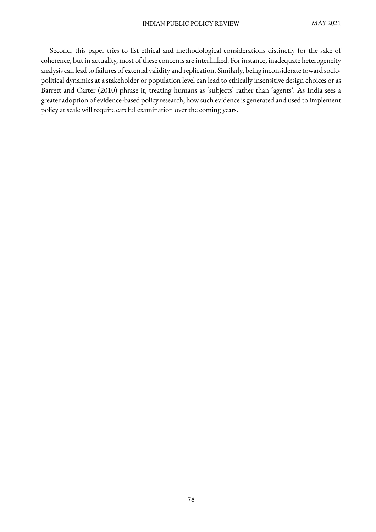Second, this paper tries to list ethical and methodological considerations distinctly for the sake of coherence, but in actuality, most of these concerns are interlinked. For instance, inadequate heterogeneity analysis can lead to failures of external validity and replication. Similarly, being inconsiderate toward sociopolitical dynamics at a stakeholder or population level can lead to ethically insensitive design choices or as Barrett and Carter (2010) phrase it, treating humans as 'subjects' rather than 'agents'. As India sees a greater adoption of evidence-based policy research, how such evidence is generated and used to implement policy at scale will require careful examination over the coming years.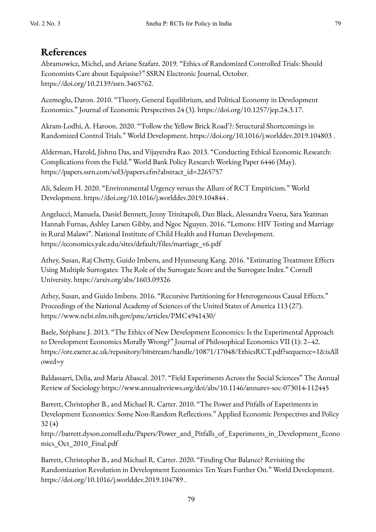# **References**

Abramowicz, Michel, and Ariane Szafarz. 2019. "Ethics of Randomized Controlled Trials: Should Economists Care about Equipoise?" SSRN Electronic Journal, October. https://doi.org/10.2139/ssrn.3465762.

Acemoglu, Daron. 2010. "Theory, General Equilibrium, and Political Economy in Development Economics." Journal of Economic Perspectives 24 (3). https://doi.org/10.1257/jep.24.3.17.

Akram-Lodhi, A. Haroon. 2020. "'Follow the Yellow Brick Road'?: Structural Shortcomings in Randomized Control Trials." World Development. https://doi.org/10.1016/j.worlddev.2019.104803 .

Alderman, Harold, Jishnu Das, and Vijayendra Rao. 2013. "Conducting Ethical Economic Research: Complications from the Field." World Bank Policy Research Working Paper 6446 (May). https://papers.ssrn.com/sol3/papers.cfm?abstract\_id=2265757

Ali, Saleem H. 2020. "Environmental Urgency versus the Allure of RCT Empiricism." World Development. https://doi.org/10.1016/j.worlddev.2019.104844 .

Angelucci, Manuela, Daniel Bennett, Jenny Trinitapoli, Dan Black, Alessandra Voena, Sara Yeatman Hannah Furnas, Ashley Larsen Gibby, and Ngoc Nguyen. 2016. "Lemons: HIV Testing and Marriage in Rural Malawi". National Institute of Child Health and Human Development. https://economics.yale.edu/sites/default/files/marriage\_v6.pdf

Athey, Susan, Raj Chetty, Guido Imbens, and Hyunseung Kang. 2016. "Estimating Treatment Effects Using Multiple Surrogates: The Role of the Surrogate Score and the Surrogate Index." Cornell University. https://arxiv.org/abs/1603.09326

Athey, Susan, and Guido Imbens. 2016. "Recursive Partitioning for Heterogeneous Causal Effects." Proceedings of the National Academy of Sciences of the United States of America 113 (27). https://www.ncbi.nlm.nih.gov/pmc/articles/PMC4941430/

Baele, Stéphane J. 2013. "The Ethics of New Development Economics: Is the Experimental Approach to Development Economics Morally Wrong?" Journal of Philosophical Economics VII (1): 2–42. https://ore.exeter.ac.uk/repository/bitstream/handle/10871/17048/EthicsRCT.pdf?sequence=1&isAll owed=y

Baldassarri, Delia, and Maria Abascal. 2017. "Field Experiments Across the Social Sciences" The Annual Review of Sociology https://www.annualreviews.org/doi/abs/10.1146/annurev-soc-073014-112445

Barrett, Christopher B., and Michael R. Carter. 2010. "The Power and Pitfalls of Experiments in Development Economics: Some Non-Random Reflections." Applied Economic Perspectives and Policy 32 (4)

http://barrett.dyson.cornell.edu/Papers/Power\_and\_Pitfalls\_of\_Experiments\_in\_Development\_Econo mics\_Oct\_2010\_Final.pdf

Barrett, Christopher B., and Michael R. Carter. 2020. "Finding Our Balance? Revisiting the Randomization Revolution in Development Economics Ten Years Further On." World Development. https://doi.org/10.1016/j.worlddev.2019.104789 .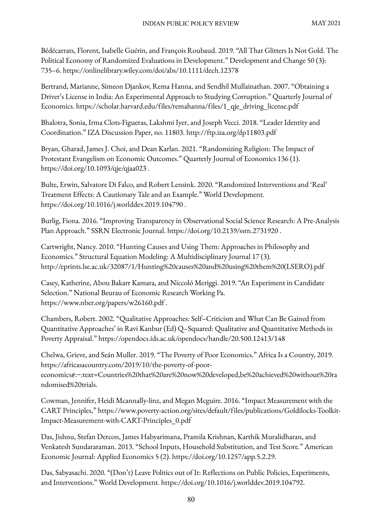Bédécarrats, Florent, Isabelle Guérin, and François Roubaud. 2019. "All That Glitters Is Not Gold. The Political Economy of Randomized Evaluations in Development." Development and Change 50 (3): 735–6. https://onlinelibrary.wiley.com/doi/abs/10.1111/dech.12378

Bertrand, Marianne, Simeon Djankov, Rema Hanna, and Sendhil Mullainathan. 2007. "Obtaining a Driver's License in India: An Experimental Approach to Studying Corruption." Quarterly Journal of Economics. https://scholar.harvard.edu/files/remahanna/files/1\_qje\_driving\_license.pdf

Bhalotra, Sonia, Irma Clots-Figueras, Lakshmi Iyer, and Joseph Vecci. 2018. "Leader Identity and Coordination." IZA Discussion Paper, no. 11803. http://ftp.iza.org/dp11803.pdf

Bryan, Gharad, James J. Choi, and Dean Karlan. 2021. "Randomizing Religion: The Impact of Protestant Evangelism on Economic Outcomes." Quarterly Journal of Economics 136 (1). https://doi.org/10.1093/qje/qjaa023 .

Bulte, Erwin, Salvatore Di Falco, and Robert Lensink. 2020. "Randomized Interventions and 'Real' Treatment Effects: A Cautionary Tale and an Example." World Development. https://doi.org/10.1016/j.worlddev.2019.104790 .

Burlig, Fiona. 2016. "Improving Transparency in Observational Social Science Research: A Pre-Analysis Plan Approach." SSRN Electronic Journal. https://doi.org/10.2139/ssrn.2731920 .

Cartwright, Nancy. 2010. "Hunting Causes and Using Them: Approaches in Philosophy and Economics." Structural Equation Modeling: A Multidisciplinary Journal 17 (3). http://eprints.lse.ac.uk/32087/1/Hunting%20causes%20and%20using%20them%20(LSERO).pdf

Casey, Katherine, Abou Bakarr Kamara, and Niccoló Meriggi. 2019. "An Experiment in Candidate Selection." National Beurau of Economic Research Working Pa. https://www.nber.org/papers/w26160.pdf .

Chambers, Robert. 2002. "Qualitative Approaches: Self–Criticism and What Can Be Gained from Quantitative Approaches' in Ravi Kanbur (Ed) Q–Squared: Qualitative and Quantitative Methods in Poverty Appraisal." https://opendocs.ids.ac.uk/opendocs/handle/20.500.12413/148

Chelwa, Grieve, and Seán Muller. 2019. "The Poverty of Poor Economics." Africa Is a Country, 2019. https://africasacountry.com/2019/10/the-poverty-of-pooreconomics#:~:text=Countries%20that%20are%20now%20developed,be%20achieved%20without%20ra ndomised%20trials.

Cowman, Jennifer, Heidi Mcannally-linz, and Megan Mcguire. 2016. "Impact Measurement with the CART Principles," https://www.poverty-action.org/sites/default/files/publications/Goldilocks-Toolkit-Impact-Measurement-with-CART-Principles\_0.pdf

Das, Jishnu, Stefan Dercon, James Habyarimana, Pramila Krishnan, Karthik Muralidharan, and Venkatesh Sundararaman. 2013. "School Inputs, Household Substitution, and Test Score." American Economic Journal: Applied Economics 5 (2). https://doi.org/10.1257/app.5.2.29.

Das, Sabyasachi. 2020. "(Don't) Leave Politics out of It: Reflections on Public Policies, Experiments, and Interventions." World Development. https://doi.org/10.1016/j.worlddev.2019.104792.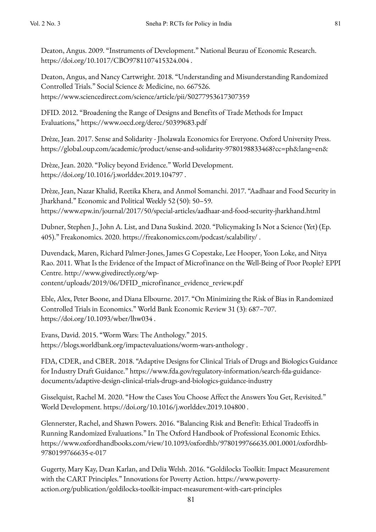Deaton, Angus. 2009. "Instruments of Development." National Beurau of Economic Research. https://doi.org/10.1017/CBO9781107415324.004 .

Deaton, Angus, and Nancy Cartwright. 2018. "Understanding and Misunderstanding Randomized Controlled Trials." Social Science & Medicine, no. 667526. https://www.sciencedirect.com/science/article/pii/S0277953617307359

DFID. 2012. "Broadening the Range of Designs and Benefits of Trade Methods for Impact Evaluations," https://www.oecd.org/derec/50399683.pdf

Drèze, Jean. 2017. Sense and Solidarity - Jholawala Economics for Everyone. Oxford University Press. https://global.oup.com/academic/product/sense-and-solidarity-9780198833468?cc=ph&lang=en&

Drèze, Jean. 2020. "Policy beyond Evidence." World Development. https://doi.org/10.1016/j.worlddev.2019.104797 .

Drèze, Jean, Nazar Khalid, Reetika Khera, and Anmol Somanchi. 2017. "Aadhaar and Food Security in Jharkhand." Economic and Political Weekly 52 (50): 50–59. https://www.epw.in/journal/2017/50/special-articles/aadhaar-and-food-security-jharkhand.html

Dubner, Stephen J., John A. List, and Dana Suskind. 2020. "Policymaking Is Not a Science (Yet) (Ep. 405)." Freakonomics. 2020. https://freakonomics.com/podcast/scalability/ .

Duvendack, Maren, Richard Palmer-Jones, James G Copestake, Lee Hooper, Yoon Loke, and Nitya Rao. 2011. What Is the Evidence of the Impact of Microfinance on the Well-Being of Poor People? EPPI Centre. http://www.givedirectly.org/wp-

content/uploads/2019/06/DFID\_microfinance\_evidence\_review.pdf

Eble, Alex, Peter Boone, and Diana Elbourne. 2017. "On Minimizing the Risk of Bias in Randomized Controlled Trials in Economics." World Bank Economic Review 31 (3): 687–707. https://doi.org/10.1093/wber/lhw034 .

Evans, David. 2015. "Worm Wars: The Anthology." 2015. https://blogs.worldbank.org/impactevaluations/worm-wars-anthology .

FDA, CDER, and CBER. 2018. "Adaptive Designs for Clinical Trials of Drugs and Biologics Guidance for Industry Draft Guidance." https://www.fda.gov/regulatory-information/search-fda-guidancedocuments/adaptive-design-clinical-trials-drugs-and-biologics-guidance-industry

Gisselquist, Rachel M. 2020. "How the Cases You Choose Affect the Answers You Get, Revisited." World Development. https://doi.org/10.1016/j.worlddev.2019.104800 .

Glennerster, Rachel, and Shawn Powers. 2016. "Balancing Risk and Benefit: Ethical Tradeoffs in Running Randomized Evaluations." In The Oxford Handbook of Professional Economic Ethics. https://www.oxfordhandbooks.com/view/10.1093/oxfordhb/9780199766635.001.0001/oxfordhb-9780199766635-e-017

Gugerty, Mary Kay, Dean Karlan, and Delia Welsh. 2016. "Goldilocks Toolkit: Impact Measurement with the CART Principles." Innovations for Poverty Action. https://www.povertyaction.org/publication/goldilocks-toolkit-impact-measurement-with-cart-principles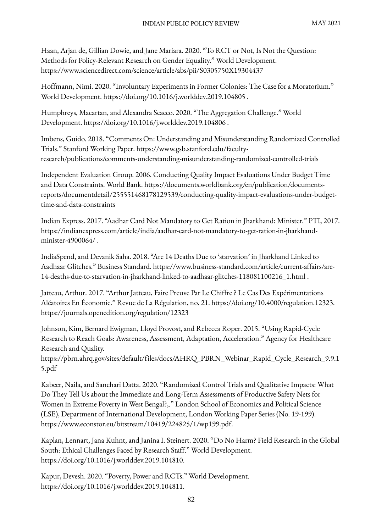Haan, Arjan de, Gillian Dowie, and Jane Mariara. 2020. "To RCT or Not, Is Not the Question: Methods for Policy-Relevant Research on Gender Equality." World Development. https://www.sciencedirect.com/science/article/abs/pii/S0305750X19304437

Hoffmann, Nimi. 2020. "Involuntary Experiments in Former Colonies: The Case for a Moratorium." World Development. https://doi.org/10.1016/j.worlddev.2019.104805 .

Humphreys, Macartan, and Alexandra Scacco. 2020. "The Aggregation Challenge." World Development. https://doi.org/10.1016/j.worlddev.2019.104806 .

Imbens, Guido. 2018. "Comments On: Understanding and Misunderstanding Randomized Controlled Trials." Stanford Working Paper. https://www.gsb.stanford.edu/facultyresearch/publications/comments-understanding-misunderstanding-randomized-controlled-trials

Independent Evaluation Group. 2006. Conducting Quality Impact Evaluations Under Budget Time and Data Constraints. World Bank. https://documents.worldbank.org/en/publication/documentsreports/documentdetail/255551468178129539/conducting-quality-impact-evaluations-under-budgettime-and-data-constraints

Indian Express. 2017. "Aadhar Card Not Mandatory to Get Ration in Jharkhand: Minister." PTI, 2017. https://indianexpress.com/article/india/aadhar-card-not-mandatory-to-get-ration-in-jharkhandminister-4900064/ .

IndiaSpend, and Devanik Saha. 2018. "Are 14 Deaths Due to 'starvation' in Jharkhand Linked to Aadhaar Glitches." Business Standard. https://www.business-standard.com/article/current-affairs/are-14-deaths-due-to-starvation-in-jharkhand-linked-to-aadhaar-glitches-118081100216\_1.html .

Jatteau, Arthur. 2017. "Arthur Jatteau, Faire Preuve Par Le Chiffre ? Le Cas Des Expérimentations Aléatoires En Économie." Revue de La Régulation, no. 21. https://doi.org/10.4000/regulation.12323. https://journals.openedition.org/regulation/12323

Johnson, Kim, Bernard Ewigman, Lloyd Provost, and Rebecca Roper. 2015. "Using Rapid-Cycle Research to Reach Goals: Awareness, Assessment, Adaptation, Acceleration." Agency for Healthcare Research and Quality.

https://pbrn.ahrq.gov/sites/default/files/docs/AHRQ\_PBRN\_Webinar\_Rapid\_Cycle\_Research\_9.9.1 5.pdf

Kabeer, Naila, and Sanchari Datta. 2020. "Randomized Control Trials and Qualitative Impacts: What Do They Tell Us about the Immediate and Long-Term Assessments of Productive Safety Nets for Women in Extreme Poverty in West Bengal?,." London School of Economics and Political Science (LSE), Department of International Development, London Working Paper Series (No. 19-199). https://www.econstor.eu/bitstream/10419/224825/1/wp199.pdf.

Kaplan, Lennart, Jana Kuhnt, and Janina I. Steinert. 2020. "Do No Harm? Field Research in the Global South: Ethical Challenges Faced by Research Staff." World Development. https://doi.org/10.1016/j.worlddev.2019.104810.

Kapur, Devesh. 2020. "Poverty, Power and RCTs." World Development. https://doi.org/10.1016/j.worlddev.2019.104811.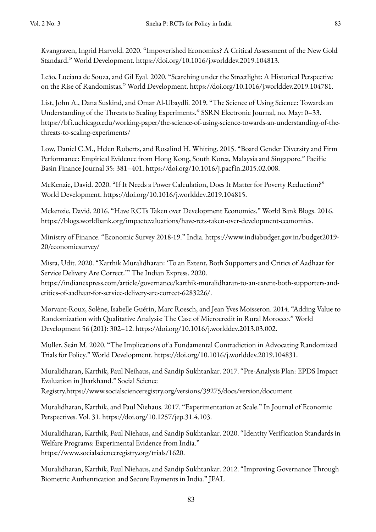Kvangraven, Ingrid Harvold. 2020. "Impoverished Economics? A Critical Assessment of the New Gold Standard." World Development. https://doi.org/10.1016/j.worlddev.2019.104813.

Leão, Luciana de Souza, and Gil Eyal. 2020. "Searching under the Streetlight: A Historical Perspective on the Rise of Randomistas." World Development. https://doi.org/10.1016/j.worlddev.2019.104781.

List, John A., Dana Suskind, and Omar Al-Ubaydli. 2019. "The Science of Using Science: Towards an Understanding of the Threats to Scaling Experiments." SSRN Electronic Journal, no. May: 0–33. https://bfi.uchicago.edu/working-paper/the-science-of-using-science-towards-an-understanding-of-thethreats-to-scaling-experiments/

Low, Daniel C.M., Helen Roberts, and Rosalind H. Whiting. 2015. "Board Gender Diversity and Firm Performance: Empirical Evidence from Hong Kong, South Korea, Malaysia and Singapore." Pacific Basin Finance Journal 35: 381–401. https://doi.org/10.1016/j.pacfin.2015.02.008.

McKenzie, David. 2020. "If It Needs a Power Calculation, Does It Matter for Poverty Reduction?" World Development. https://doi.org/10.1016/j.worlddev.2019.104815.

Mckenzie, David. 2016. "Have RCTs Taken over Development Economics." World Bank Blogs. 2016. https://blogs.worldbank.org/impactevaluations/have-rcts-taken-over-development-economics.

Ministry of Finance. "Economic Survey 2018-19." India. https://www.indiabudget.gov.in/budget2019- 20/economicsurvey/

Misra, Udit. 2020. "Karthik Muralidharan: 'To an Extent, Both Supporters and Critics of Aadhaar for Service Delivery Are Correct.'" The Indian Express. 2020.

https://indianexpress.com/article/governance/karthik-muralidharan-to-an-extent-both-supporters-andcritics-of-aadhaar-for-service-delivery-are-correct-6283226/.

Morvant-Roux, Solène, Isabelle Guérin, Marc Roesch, and Jean Yves Moisseron. 2014. "Adding Value to Randomization with Qualitative Analysis: The Case of Microcredit in Rural Morocco." World Development 56 (201): 302–12. https://doi.org/10.1016/j.worlddev.2013.03.002.

Muller, Seán M. 2020. "The Implications of a Fundamental Contradiction in Advocating Randomized Trials for Policy." World Development. https://doi.org/10.1016/j.worlddev.2019.104831.

Muralidharan, Karthik, Paul Neihaus, and Sandip Sukhtankar. 2017. "Pre-Analysis Plan: EPDS Impact Evaluation in Jharkhand." Social Science Registry.https://www.socialscienceregistry.org/versions/39275/docs/version/document

Muralidharan, Karthik, and Paul Niehaus. 2017. "Experimentation at Scale." In Journal of Economic Perspectives. Vol. 31. https://doi.org/10.1257/jep.31.4.103.

Muralidharan, Karthik, Paul Niehaus, and Sandip Sukhtankar. 2020. "Identity Verification Standards in Welfare Programs: Experimental Evidence from India." https://www.socialscienceregistry.org/trials/1620.

Muralidharan, Karthik, Paul Niehaus, and Sandip Sukhtankar. 2012. "Improving Governance Through Biometric Authentication and Secure Payments in India." JPAL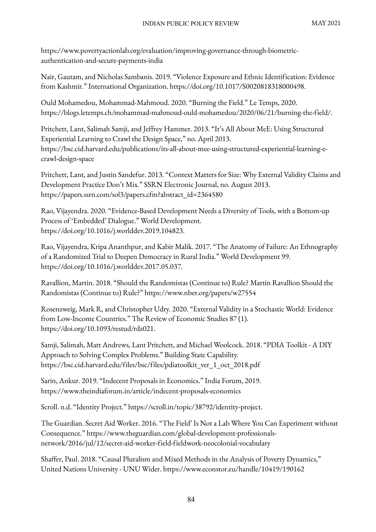https://www.povertyactionlab.org/evaluation/improving-governance-through-biometricauthentication-and-secure-payments-india

Nair, Gautam, and Nicholas Sambanis. 2019. "Violence Exposure and Ethnic Identification: Evidence from Kashmir." International Organization. https://doi.org/10.1017/S0020818318000498.

Ould Mohamedou, Mohammad-Mahmoud. 2020. "Burning the Field." Le Temps, 2020. https://blogs.letemps.ch/mohammad-mahmoud-ould-mohamedou/2020/06/21/burning-the-field/.

Pritchett, Lant, Salimah Samji, and Jeffrey Hammer. 2013. "It's All About MeE: Using Structured Experiential Learning to Crawl the Design Space," no. April 2013. https://bsc.cid.harvard.edu/publications/its-all-about-mee-using-structured-experiential-learning-ecrawl-design-space

Pritchett, Lant, and Justin Sandefur. 2013. "Context Matters for Size: Why External Validity Claims and Development Practice Don't Mix." SSRN Electronic Journal, no. August 2013. https://papers.ssrn.com/sol3/papers.cfm?abstract\_id=2364580

Rao, Vijayendra. 2020. "Evidence-Based Development Needs a Diversity of Tools, with a Bottom-up Process of 'Embedded' Dialogue." World Development. https://doi.org/10.1016/j.worlddev.2019.104823.

Rao, Vijayendra, Kripa Ananthpur, and Kabir Malik. 2017. "The Anatomy of Failure: An Ethnography of a Randomized Trial to Deepen Democracy in Rural India." World Development 99. https://doi.org/10.1016/j.worlddev.2017.05.037.

Ravallion, Martin. 2018. "Should the Randomistas (Continue to) Rule? Martin Ravallion Should the Randomistas (Continue to) Rule?" https://www.nber.org/papers/w27554

Rosenzweig, Mark R, and Christopher Udry. 2020. "External Validity in a Stochastic World: Evidence from Low-Income Countries." The Review of Economic Studies 87 (1). https://doi.org/10.1093/restud/rdz021.

Samji, Salimah, Matt Andrews, Lant Pritchett, and Michael Woolcock. 2018. "PDIA Toolkit - A DIY Approach to Solving Complex Problems." Building State Capability. https://bsc.cid.harvard.edu/files/bsc/files/pdiatoolkit\_ver\_1\_oct\_2018.pdf

Sarin, Ankur. 2019. "Indecent Proposals in Economics." India Forum, 2019. https://www.theindiaforum.in/article/indecent-proposals-economics

Scroll. n.d. "Identity Project." https://scroll.in/topic/38792/identity-project.

The Guardian. Secret Aid Worker. 2016. "The Field' Is Not a Lab Where You Can Experiment without Consequence." https://www.theguardian.com/global-development-professionalsnetwork/2016/jul/12/secret-aid-worker-field-fieldwork-neocolonial-vocabulary

Shaffer, Paul. 2018. "Causal Pluralism and Mixed Methods in the Analysis of Poverty Dynamics," United Nations University - UNU Wider. https://www.econstor.eu/handle/10419/190162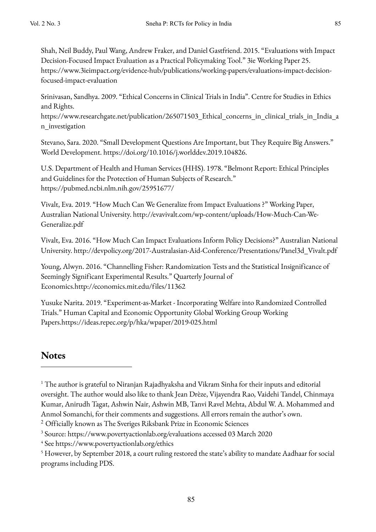Shah, Neil Buddy, Paul Wang, Andrew Fraker, and Daniel Gastfriend. 2015. "Evaluations with Impact Decision-Focused Impact Evaluation as a Practical Policymaking Tool." 3ie Working Paper 25. https://www.3ieimpact.org/evidence-hub/publications/working-papers/evaluations-impact-decisionfocused-impact-evaluation

Srinivasan, Sandhya. 2009. "Ethical Concerns in Clinical Trials in India". Centre for Studies in Ethics and Rights.

https://www.researchgate.net/publication/265071503\_Ethical\_concerns\_in\_clinical\_trials\_in\_India\_a n\_investigation

Stevano, Sara. 2020. "Small Development Questions Are Important, but They Require Big Answers." World Development. https://doi.org/10.1016/j.worlddev.2019.104826.

U.S. Department of Health and Human Services (HHS). 1978. "Belmont Report: Ethical Principles and Guidelines for the Protection of Human Subjects of Research." https://pubmed.ncbi.nlm.nih.gov/25951677/

Vivalt, Eva. 2019. "How Much Can We Generalize from Impact Evaluations ?" Working Paper, Australian National University. http://evavivalt.com/wp-content/uploads/How-Much-Can-We-Generalize.pdf

Vivalt, Eva. 2016. "How Much Can Impact Evaluations Inform Policy Decisions?" Australian National University. http://devpolicy.org/2017-Australasian-Aid-Conference/Presentations/Panel3d\_Vivalt.pdf

Young, Alwyn. 2016. "Channelling Fisher: Randomization Tests and the Statistical Insignificance of Seemingly Significant Experimental Results." Quarterly Journal of Economics.http://economics.mit.edu/files/11362

Yusuke Narita. 2019. "Experiment-as-Market - Incorporating Welfare into Randomized Controlled Trials." Human Capital and Economic Opportunity Global Working Group Working Papers.https://ideas.repec.org/p/hka/wpaper/2019-025.html

# **Notes**

<sup>1</sup> The author is grateful to Niranjan Rajadhyaksha and Vikram Sinha for their inputs and editorial oversight. The author would also like to thank Jean Drèze, Vijayendra Rao, Vaidehi Tandel, Chinmaya Kumar, Anirudh Tagat, Ashwin Nair, Ashwin MB, Tanvi Ravel Mehta, Abdul W. A. Mohammed and Anmol Somanchi, for their comments and suggestions. All errors remain the author's own.

<sup>&</sup>lt;sup>2</sup> Officially known as The Sveriges Riksbank Prize in Economic Sciences

<sup>3</sup> Source: https://www.povertyactionlab.org/evaluations accessed 03 March 2020

<sup>4</sup> See https://www.povertyactionlab.org/ethics

<sup>5</sup> However, by September 2018, a court ruling restored the state's ability to mandate Aadhaar for social programs including PDS.